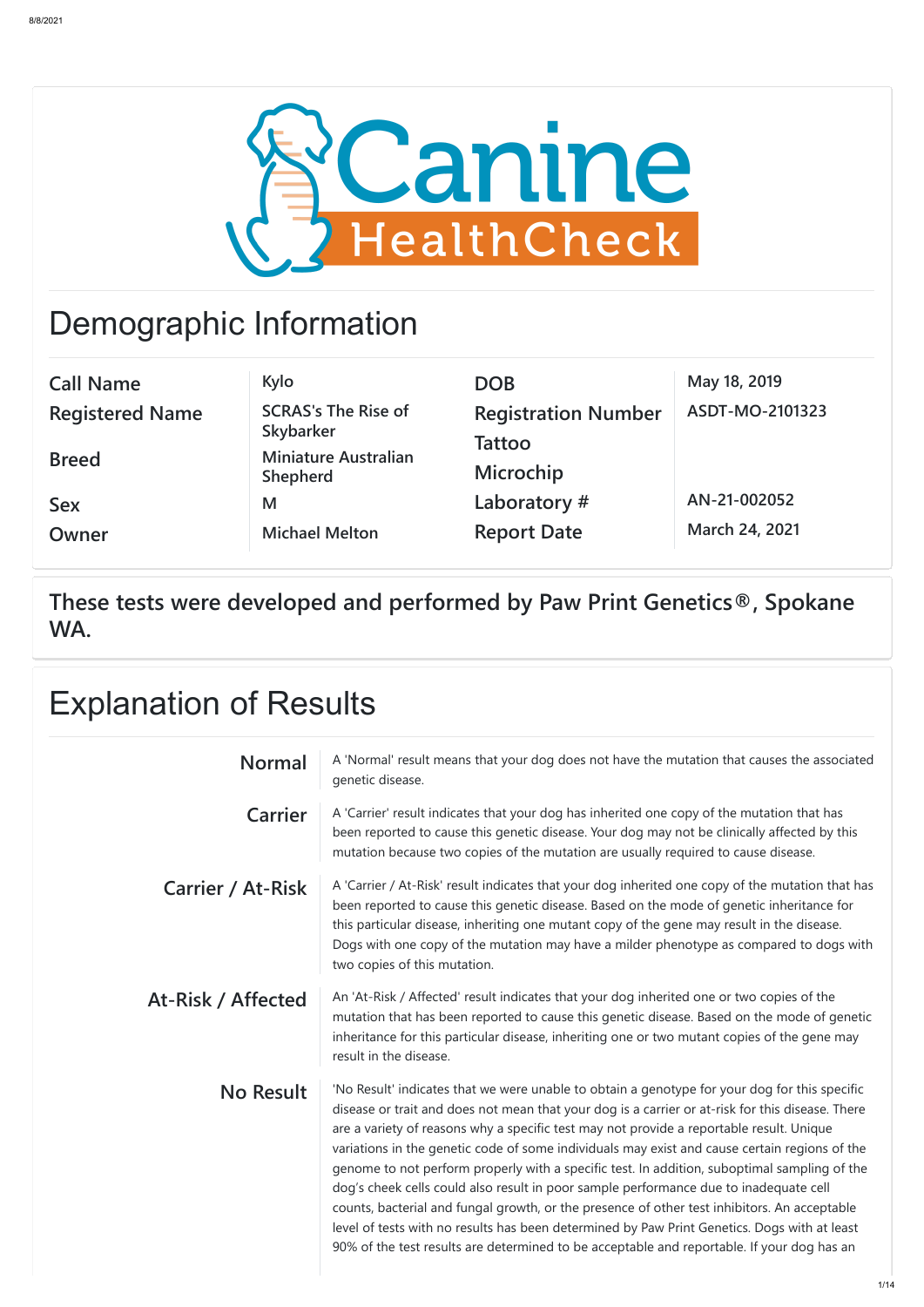

## Demographic Information

| <b>Call Name</b>       | Kylo                                           | <b>DOB</b>                 | May 18, 2019    |
|------------------------|------------------------------------------------|----------------------------|-----------------|
| <b>Registered Name</b> | <b>SCRAS's The Rise of</b>                     | <b>Registration Number</b> | ASDT-MO-2101323 |
|                        | <b>Skybarker</b>                               | Tattoo                     |                 |
| <b>Breed</b>           | <b>Miniature Australian</b><br><b>Shepherd</b> | <b>Microchip</b>           |                 |
| <b>Sex</b>             | M                                              | Laboratory#                | AN-21-002052    |
| Owner                  | <b>Michael Melton</b>                          | <b>Report Date</b>         | March 24, 2021  |

**These tests were developed and performed by Paw Print Genetics®, Spokane WA.**

> At-Risk / Affected An 'At-Risk / Affected' result indicates that your dog inherited one or two copies of the mutation that has been reported to cause this genetic disease. Based on the mode of genetic inheritance for this particular disease, inheriting one or two mutant copies of the gene may result in the disease.

| <b>Explanation of Results</b> |                                                                                                                                                                                                                                                                                                                                                                                                                        |  |  |
|-------------------------------|------------------------------------------------------------------------------------------------------------------------------------------------------------------------------------------------------------------------------------------------------------------------------------------------------------------------------------------------------------------------------------------------------------------------|--|--|
| <b>Normal</b>                 | A 'Normal' result means that your dog does not have the mutation that causes the associated<br>genetic disease.                                                                                                                                                                                                                                                                                                        |  |  |
| Carrier                       | A 'Carrier' result indicates that your dog has inherited one copy of the mutation that has<br>been reported to cause this genetic disease. Your dog may not be clinically affected by this<br>mutation because two copies of the mutation are usually required to cause disease.                                                                                                                                       |  |  |
| <b>Carrier / At-Risk</b>      | A 'Carrier / At-Risk' result indicates that your dog inherited one copy of the mutation that has<br>been reported to cause this genetic disease. Based on the mode of genetic inheritance for<br>this particular disease, inheriting one mutant copy of the gene may result in the disease.<br>Dogs with one copy of the mutation may have a milder phenotype as compared to dogs with<br>two copies of this mutation. |  |  |

**No Result** | 'No Result' indicates that we were unable to obtain a genotype for your dog for this specific disease or trait and does not mean that your dog is a carrier or at-risk for this disease. There are a variety of reasons why a specific test may not provide a reportable result. Unique variations in the genetic code of some individuals may exist and cause certain regions of the genome to not perform properly with a specific test. In addition, suboptimal sampling of the dog's cheek cells could also result in poor sample performance due to inadequate cell counts, bacterial and fungal growth, or the presence of other test inhibitors. An acceptable level of tests with no results has been determined by Paw Print Genetics. Dogs with at least 90% of the test results are determined to be acceptable and reportable. If your dog has an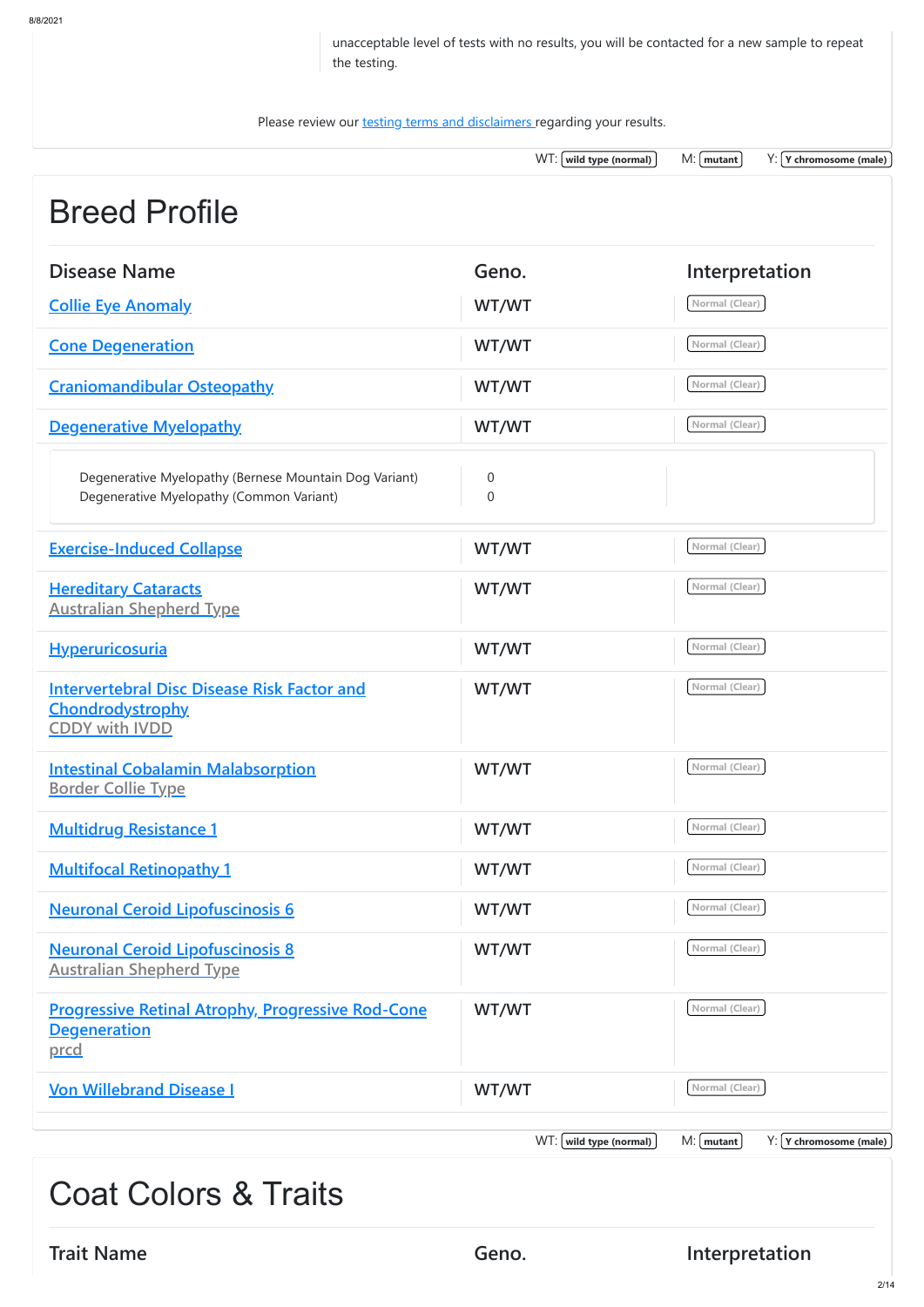unacceptable level of tests with no results, you will be contacted for a new sample to repeat the testing.

Please review our **testing terms and disclaimers** regarding your results.

WT:  $(wild type (normal)$  M:  $(mutan)$  Y:  $(Y chromosome (male))$ 

## Breed Profile

| <b>Disease Name</b>                                                                                    | Geno.                            | Interpretation                            |
|--------------------------------------------------------------------------------------------------------|----------------------------------|-------------------------------------------|
| <b>Collie Eye Anomaly</b>                                                                              | WT/WT                            | Normal (Clear)                            |
| <b>Cone Degeneration</b>                                                                               | WT/WT                            | Normal (Clear)                            |
| <b>Craniomandibular Osteopathy</b>                                                                     | WT/WT                            | Normal (Clear)                            |
| <b>Degenerative Myelopathy</b>                                                                         | WT/WT                            | Normal (Clear)                            |
| Degenerative Myelopathy (Bernese Mountain Dog Variant)<br>Degenerative Myelopathy (Common Variant)     | $\overline{0}$<br>$\overline{0}$ |                                           |
| <b>Exercise-Induced Collapse</b>                                                                       | WT/WT                            | Normal (Clear)                            |
| <b>Hereditary Cataracts</b><br><b>Australian Shepherd Type</b>                                         | WT/WT                            | Normal (Clear)                            |
| <b>Hyperuricosuria</b>                                                                                 | WT/WT                            | Normal (Clear)                            |
| <b>Intervertebral Disc Disease Risk Factor and</b><br><b>Chondrodystrophy</b><br><b>CDDY with IVDD</b> | WT/WT                            | Normal (Clear)                            |
| <b>Intestinal Cobalamin Malabsorption</b><br><b>Border Collie Type</b>                                 | WT/WT                            | Normal (Clear)                            |
| <b>Multidrug Resistance 1</b>                                                                          | WT/WT                            | Normal (Clear)                            |
| <b>Multifocal Retinopathy 1</b>                                                                        | WT/WT                            | Normal (Clear)                            |
| <b>Neuronal Ceroid Lipofuscinosis 6</b>                                                                | WT/WT                            | Normal (Clear)                            |
| <b>Neuronal Ceroid Lipofuscinosis 8</b><br><b>Australian Shepherd Type</b>                             | WT/WT                            | Normal (Clear)                            |
| <b>Progressive Retinal Atrophy, Progressive Rod-Cone</b><br><b>Degeneration</b><br>prcd                | WT/WT                            | Normal (Clear)                            |
| <b>Von Willebrand Disease I</b>                                                                        | WT/WT                            | Normal (Clear)                            |
|                                                                                                        | $WT: [$ wild type (normal)       | $Y: Y$ chromosome (male)<br>$M:$   mutant |
| <b>Coat Colors &amp; Traits</b>                                                                        |                                  |                                           |
| <b>Trait Name</b>                                                                                      | Geno.                            | Interpretation                            |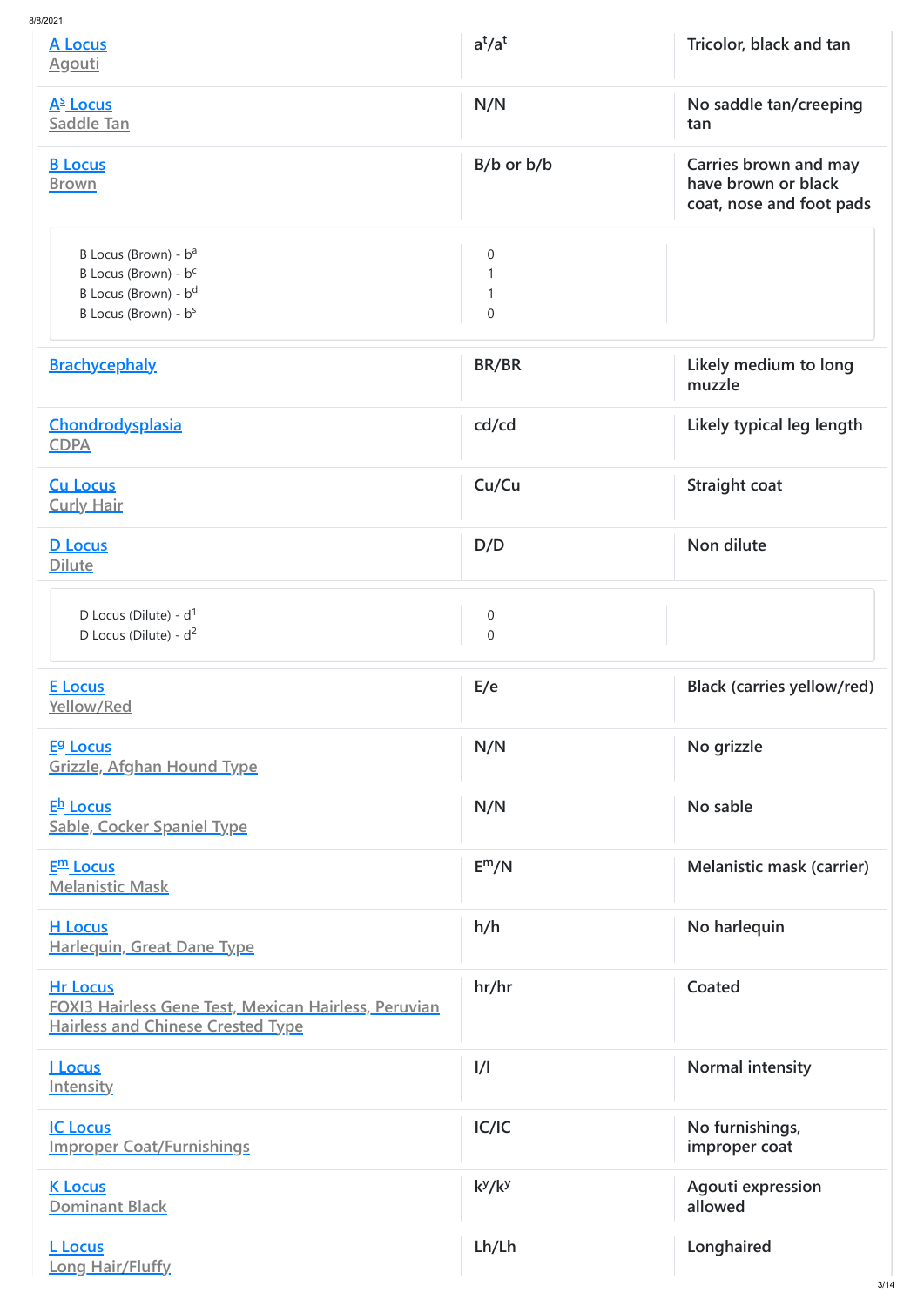| 8/8/2021                                                                                                                                     |                                    |                                                                          |
|----------------------------------------------------------------------------------------------------------------------------------------------|------------------------------------|--------------------------------------------------------------------------|
| A Locus<br><u>Agouti</u>                                                                                                                     | $a^t/a^t$                          | Tricolor, black and tan                                                  |
| A <sup>s</sup> Locus<br><b>Saddle Tan</b>                                                                                                    | N/N                                | No saddle tan/creeping<br>tan                                            |
| <b>B</b> Locus<br><b>Brown</b>                                                                                                               | $B/b$ or $b/b$                     | Carries brown and may<br>have brown or black<br>coat, nose and foot pads |
| B Locus (Brown) - b <sup>a</sup><br>B Locus (Brown) - b <sup>c</sup><br>B Locus (Brown) - b <sup>d</sup><br>B Locus (Brown) - b <sup>s</sup> | $\boldsymbol{0}$<br>$\overline{0}$ |                                                                          |
| <b>Brachycephaly</b>                                                                                                                         | BR/BR                              | Likely medium to long<br>muzzle                                          |
| Chondrodysplasia<br><b>CDPA</b>                                                                                                              | cd/cd                              | Likely typical leg length                                                |
| <b>Cu Locus</b><br><b>Curly Hair</b>                                                                                                         | Cu/Cu                              | <b>Straight coat</b>                                                     |
| <b>D</b> Locus<br><b>Dilute</b>                                                                                                              | D/D                                | Non dilute                                                               |
| D Locus (Dilute) - $d^1$<br>D Locus (Dilute) - $d^2$                                                                                         | $\overline{0}$<br>$\mathbf 0$      |                                                                          |
| <b>E</b> Locus<br>Yellow/Red                                                                                                                 | E/e                                | <b>Black (carries yellow/red)</b>                                        |
| <b>E<sup>g</sup></b> Locus<br><b>Grizzle, Afghan Hound Type</b>                                                                              | N/N                                | No grizzle                                                               |
| E <sup>h</sup> Locus<br><b>Sable, Cocker Spaniel Type</b>                                                                                    | N/N                                | No sable                                                                 |
| $E^{\text{m}}$ Locus<br><b>Melanistic Mask</b>                                                                                               | E <sup>m</sup> /N                  | <b>Melanistic mask (carrier)</b>                                         |
| <b>H</b> Locus<br><b>Harlequin, Great Dane Type</b>                                                                                          | h/h                                | No harlequin                                                             |
| <b>Hr Locus</b><br><b>FOXI3 Hairless Gene Test, Mexican Hairless, Peruvian</b><br><b>Hairless and Chinese Crested Type</b>                   | hr/hr                              | Coated                                                                   |
| <u>I Locus</u><br><b>Intensity</b>                                                                                                           | $\frac{1}{1}$                      | Normal intensity                                                         |
| <b>IC Locus</b><br><b>Improper Coat/Furnishings</b>                                                                                          | IC/IC                              | No furnishings,<br>improper coat                                         |
| <b>K Locus</b><br><b>Dominant Black</b>                                                                                                      | $k^y/k^y$                          | Agouti expression<br>allowed                                             |
| <b>L</b> Locus<br><b>Long Hair/Fluffy</b>                                                                                                    | Lh/Lh                              | Longhaired                                                               |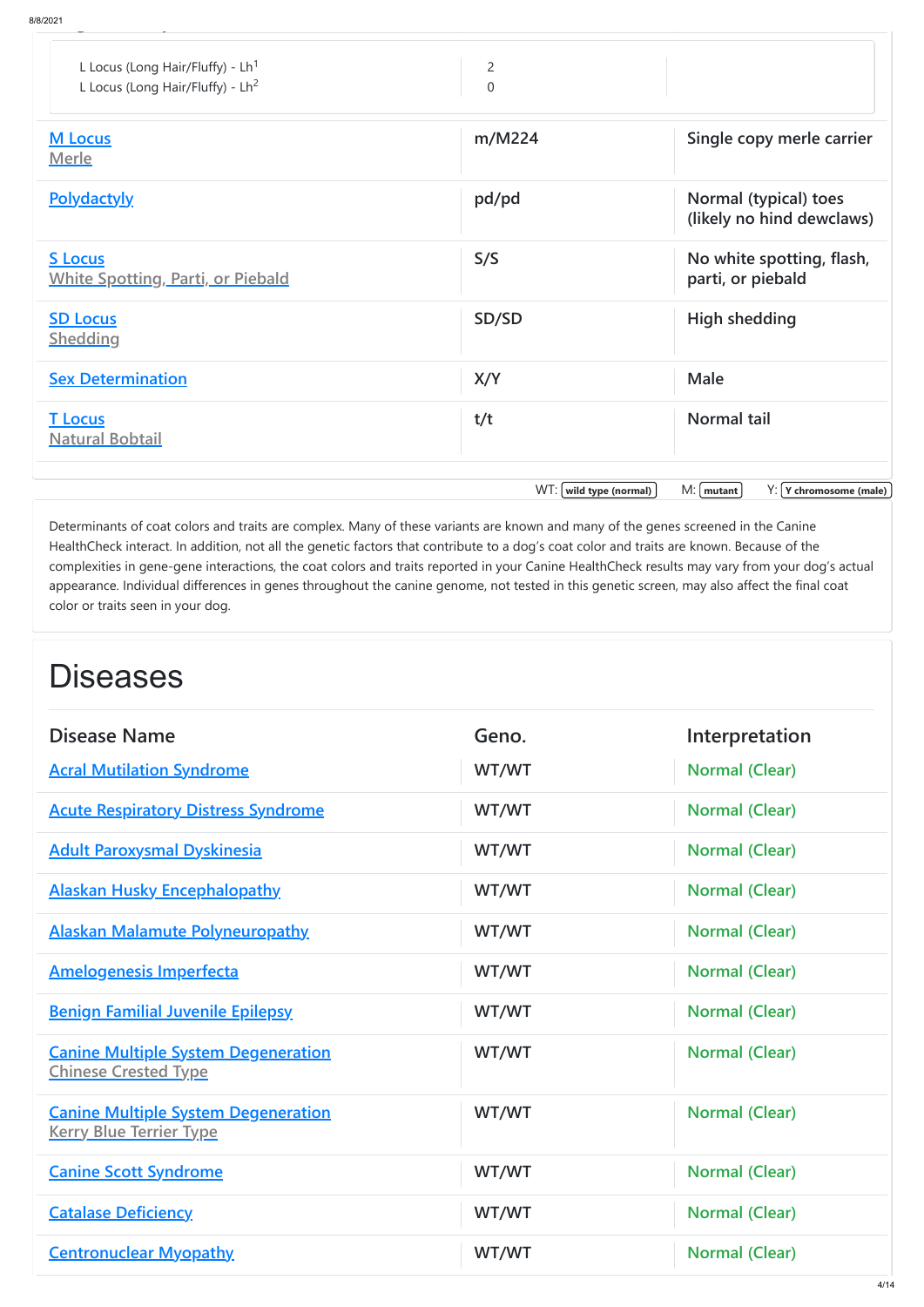| 8/2021                                                                             |                                |                                                    |
|------------------------------------------------------------------------------------|--------------------------------|----------------------------------------------------|
| L Locus (Long Hair/Fluffy) - $Lh1$<br>L Locus (Long Hair/Fluffy) - Lh <sup>2</sup> | $\overline{2}$<br>$\mathbf 0$  |                                                    |
| <b>M</b> Locus<br>Merle                                                            | m/M224                         | Single copy merle carrier                          |
| <b>Polydactyly</b>                                                                 | pd/pd                          | Normal (typical) toes<br>(likely no hind dewclaws) |
| <b>S</b> Locus<br><b>White Spotting, Parti, or Piebald</b>                         | S/S                            | No white spotting, flash,<br>parti, or piebald     |
| <b>SD Locus</b><br><b>Shedding</b>                                                 | SD/SD                          | <b>High shedding</b>                               |
| <b>Sex Determination</b>                                                           | X/Y                            | <b>Male</b>                                        |
| <b>T</b> Locus<br><b>Natural Bobtail</b>                                           | t/t                            | <b>Normal tail</b>                                 |
|                                                                                    | $WT: [$ wild type (normal) $]$ | $M:$   mutant  <br>$Y: Y$ chromosome (male)        |

Determinants of coat colors and traits are complex. Many of these variants are known and many of the genes screened in the Canine HealthCheck interact. In addition, not all the genetic factors that contribute to a dog's coat color and traits are known. Because of the complexities in gene-gene interactions, the coat colors and traits reported in your Canine HealthCheck results may vary from your dog's actual appearance. Individual differences in genes throughout the canine genome, not tested in this genetic screen, may also affect the final coat color or traits seen in your dog.

## **Diseases**

| <b>Disease Name</b>                                                          | Geno. | Interpretation        |
|------------------------------------------------------------------------------|-------|-----------------------|
| <b>Acral Mutilation Syndrome</b>                                             | WT/WT | <b>Normal (Clear)</b> |
| <b>Acute Respiratory Distress Syndrome</b>                                   | WT/WT | <b>Normal (Clear)</b> |
| <b>Adult Paroxysmal Dyskinesia</b>                                           | WT/WT | <b>Normal (Clear)</b> |
| <b>Alaskan Husky Encephalopathy</b>                                          | WT/WT | <b>Normal (Clear)</b> |
| <b>Alaskan Malamute Polyneuropathy</b>                                       | WT/WT | <b>Normal (Clear)</b> |
| <b>Amelogenesis Imperfecta</b>                                               | WT/WT | <b>Normal (Clear)</b> |
| <b>Benign Familial Juvenile Epilepsy</b>                                     | WT/WT | <b>Normal (Clear)</b> |
| <b>Canine Multiple System Degeneration</b><br><b>Chinese Crested Type</b>    | WT/WT | <b>Normal (Clear)</b> |
| <b>Canine Multiple System Degeneration</b><br><b>Kerry Blue Terrier Type</b> | WT/WT | <b>Normal (Clear)</b> |
| <b>Canine Scott Syndrome</b>                                                 | WT/WT | <b>Normal (Clear)</b> |
| <b>Catalase Deficiency</b>                                                   | WT/WT | <b>Normal (Clear)</b> |
| <b>Centronuclear Myopathy</b>                                                | WT/WT | <b>Normal (Clear)</b> |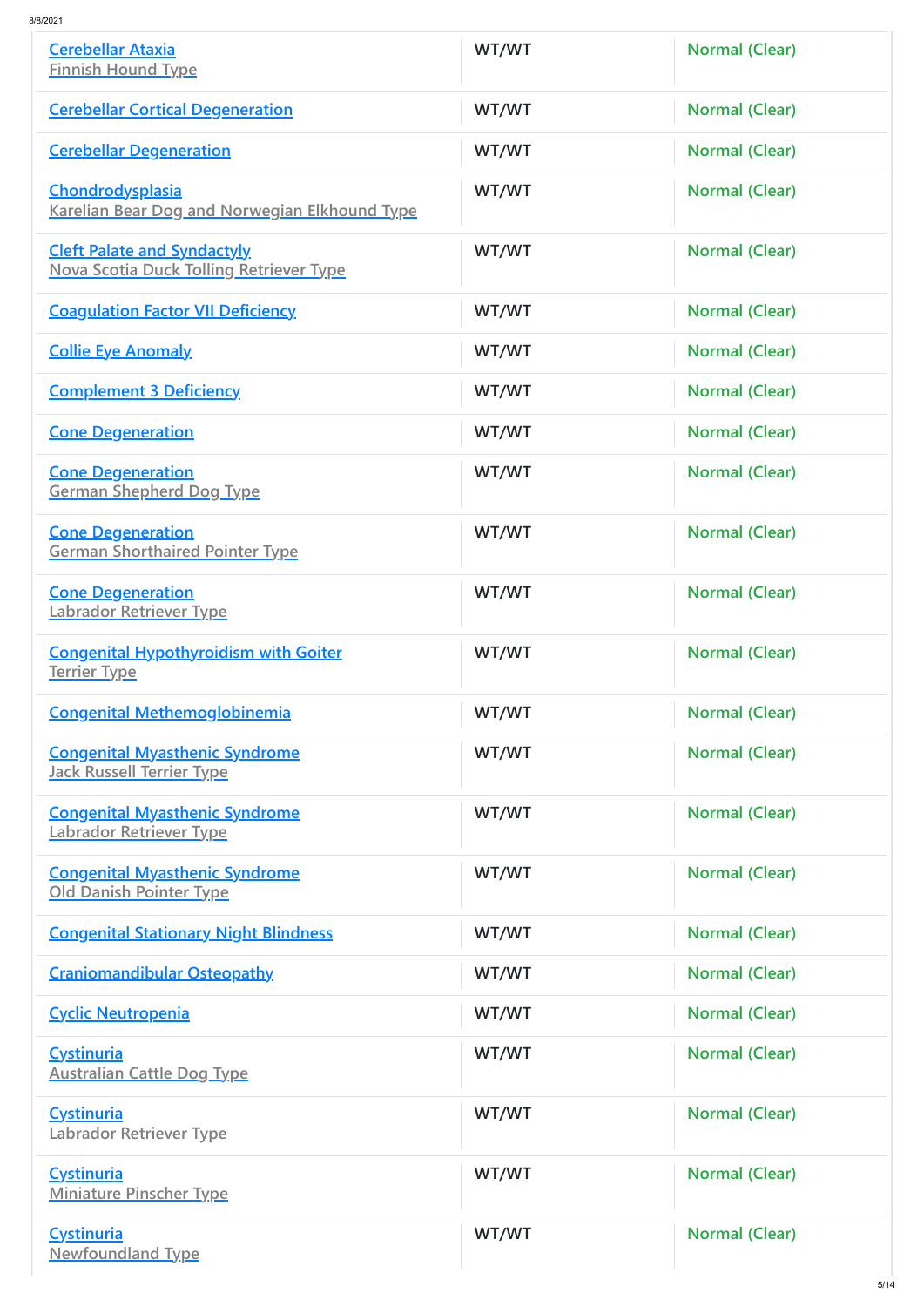| <b>Cerebellar Ataxia</b><br><b>Finnish Hound Type</b>                                | WT/WT | <b>Normal (Clear)</b> |
|--------------------------------------------------------------------------------------|-------|-----------------------|
| <b>Cerebellar Cortical Degeneration</b>                                              | WT/WT | <b>Normal (Clear)</b> |
| <b>Cerebellar Degeneration</b>                                                       | WT/WT | <b>Normal (Clear)</b> |
| <b>Chondrodysplasia</b><br><b>Karelian Bear Dog and Norwegian Elkhound Type</b>      | WT/WT | <b>Normal (Clear)</b> |
| <b>Cleft Palate and Syndactyly</b><br><b>Nova Scotia Duck Tolling Retriever Type</b> | WT/WT | <b>Normal (Clear)</b> |
| <b>Coagulation Factor VII Deficiency</b>                                             | WT/WT | <b>Normal (Clear)</b> |
| <b>Collie Eye Anomaly</b>                                                            | WT/WT | <b>Normal (Clear)</b> |
| <b>Complement 3 Deficiency</b>                                                       | WT/WT | <b>Normal (Clear)</b> |
| <b>Cone Degeneration</b>                                                             | WT/WT | <b>Normal (Clear)</b> |
| <b>Cone Degeneration</b><br><b>German Shepherd Dog Type</b>                          | WT/WT | <b>Normal (Clear)</b> |
| <b>Cone Degeneration</b><br><b>German Shorthaired Pointer Type</b>                   | WT/WT | <b>Normal (Clear)</b> |
| <b>Cone Degeneration</b><br>Labrador Retriever Type                                  | WT/WT | <b>Normal (Clear)</b> |
| <b>Congenital Hypothyroidism with Goiter</b><br><u>Terrier Type</u>                  | WT/WT | <b>Normal (Clear)</b> |
| <b>Congenital Methemoglobinemia</b>                                                  | WT/WT | <b>Normal (Clear)</b> |
| <b>Congenital Myasthenic Syndrome</b><br><b>Jack Russell Terrier Type</b>            | WT/WT | <b>Normal (Clear)</b> |
| <b>Congenital Myasthenic Syndrome</b><br>Labrador Retriever Type                     | WT/WT | <b>Normal (Clear)</b> |
| <b>Congenital Myasthenic Syndrome</b><br><b>Old Danish Pointer Type</b>              | WT/WT | <b>Normal (Clear)</b> |
| <b>Congenital Stationary Night Blindness</b>                                         | WT/WT | <b>Normal (Clear)</b> |
| <b>Craniomandibular Osteopathy</b>                                                   | WT/WT | <b>Normal (Clear)</b> |
| <b>Cyclic Neutropenia</b>                                                            | WT/WT | <b>Normal (Clear)</b> |
| <b>Cystinuria</b><br><b>Australian Cattle Dog Type</b>                               | WT/WT | <b>Normal (Clear)</b> |
| <b>Cystinuria</b><br>Labrador Retriever Type                                         | WT/WT | <b>Normal (Clear)</b> |
| <u>Cystinuria</u><br><b>Miniature Pinscher Type</b>                                  | WT/WT | <b>Normal (Clear)</b> |
| <b>Cystinuria</b><br><b>Newfoundland Type</b>                                        | WT/WT | <b>Normal (Clear)</b> |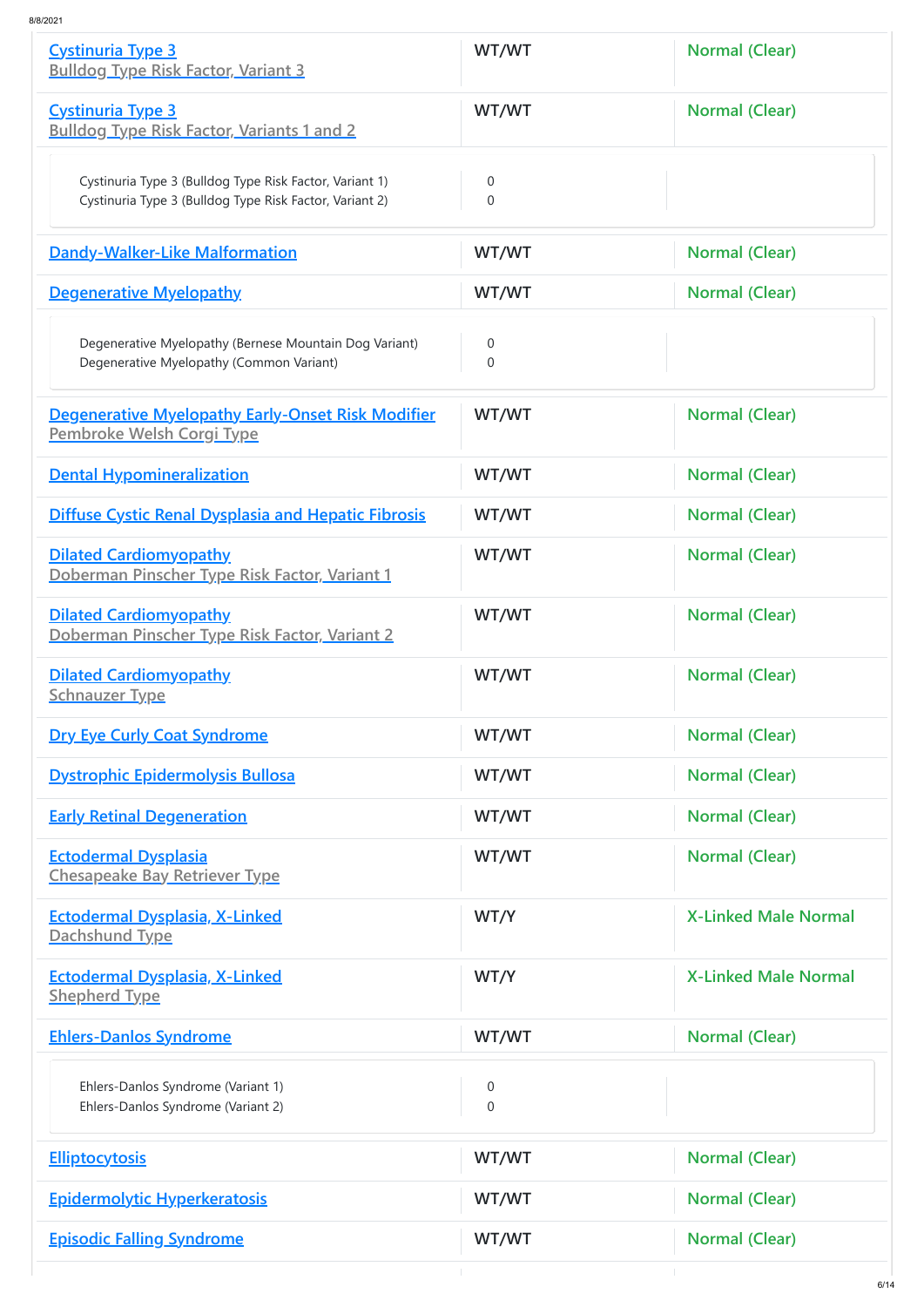| <b>Cystinuria Type 3</b><br><b>Bulldog Type Risk Factor, Variant 3</b>                                             | WT/WT                            | <b>Normal (Clear)</b>       |
|--------------------------------------------------------------------------------------------------------------------|----------------------------------|-----------------------------|
| <b>Cystinuria Type 3</b><br><b>Bulldog Type Risk Factor, Variants 1 and 2</b>                                      | WT/WT                            | <b>Normal (Clear)</b>       |
| Cystinuria Type 3 (Bulldog Type Risk Factor, Variant 1)<br>Cystinuria Type 3 (Bulldog Type Risk Factor, Variant 2) | $\overline{0}$<br>$\overline{0}$ |                             |
| <b>Dandy-Walker-Like Malformation</b>                                                                              | WT/WT                            | <b>Normal (Clear)</b>       |
| <b>Degenerative Myelopathy</b>                                                                                     | WT/WT                            | <b>Normal (Clear)</b>       |
| Degenerative Myelopathy (Bernese Mountain Dog Variant)<br>Degenerative Myelopathy (Common Variant)                 | $\theta$<br>$\overline{0}$       |                             |
| <b>Degenerative Myelopathy Early-Onset Risk Modifier</b><br>Pembroke Welsh Corgi Type                              | WT/WT                            | <b>Normal (Clear)</b>       |
| <b>Dental Hypomineralization</b>                                                                                   | WT/WT                            | Normal (Clear)              |
| <b>Diffuse Cystic Renal Dysplasia and Hepatic Fibrosis</b>                                                         | WT/WT                            | Normal (Clear)              |
| <b>Dilated Cardiomyopathy</b><br>Doberman Pinscher Type Risk Factor, Variant 1                                     | WT/WT                            | <b>Normal (Clear)</b>       |
| <b>Dilated Cardiomyopathy</b><br>Doberman Pinscher Type Risk Factor, Variant 2                                     | WT/WT                            | Normal (Clear)              |
| <b>Dilated Cardiomyopathy</b><br><b>Schnauzer Type</b>                                                             | WT/WT                            | <b>Normal (Clear)</b>       |
| <b>Dry Eye Curly Coat Syndrome</b>                                                                                 | WT/WT                            | <b>Normal (Clear)</b>       |
| <b>Dystrophic Epidermolysis Bullosa</b>                                                                            | WT/WT                            | <b>Normal (Clear)</b>       |
| <b>Early Retinal Degeneration</b>                                                                                  | WT/WT                            | <b>Normal (Clear)</b>       |
| <b>Ectodermal Dysplasia</b><br><b>Chesapeake Bay Retriever Type</b>                                                | WT/WT                            | <b>Normal (Clear)</b>       |
| <b>Ectodermal Dysplasia, X-Linked</b><br>Dachshund Type                                                            | WT/Y                             | <b>X-Linked Male Normal</b> |
| <b>Ectodermal Dysplasia, X-Linked</b><br><b>Shepherd Type</b>                                                      | WT/Y                             | <b>X-Linked Male Normal</b> |
| <b>Ehlers-Danlos Syndrome</b>                                                                                      | WT/WT                            | <b>Normal (Clear)</b>       |
| Ehlers-Danlos Syndrome (Variant 1)<br>Ehlers-Danlos Syndrome (Variant 2)                                           | $\overline{0}$<br>$\overline{0}$ |                             |
| <b>Elliptocytosis</b>                                                                                              | WT/WT                            | <b>Normal (Clear)</b>       |
| <b>Epidermolytic Hyperkeratosis</b>                                                                                | WT/WT                            | <b>Normal (Clear)</b>       |
| <b>Episodic Falling Syndrome</b>                                                                                   | WT/WT                            | <b>Normal (Clear)</b>       |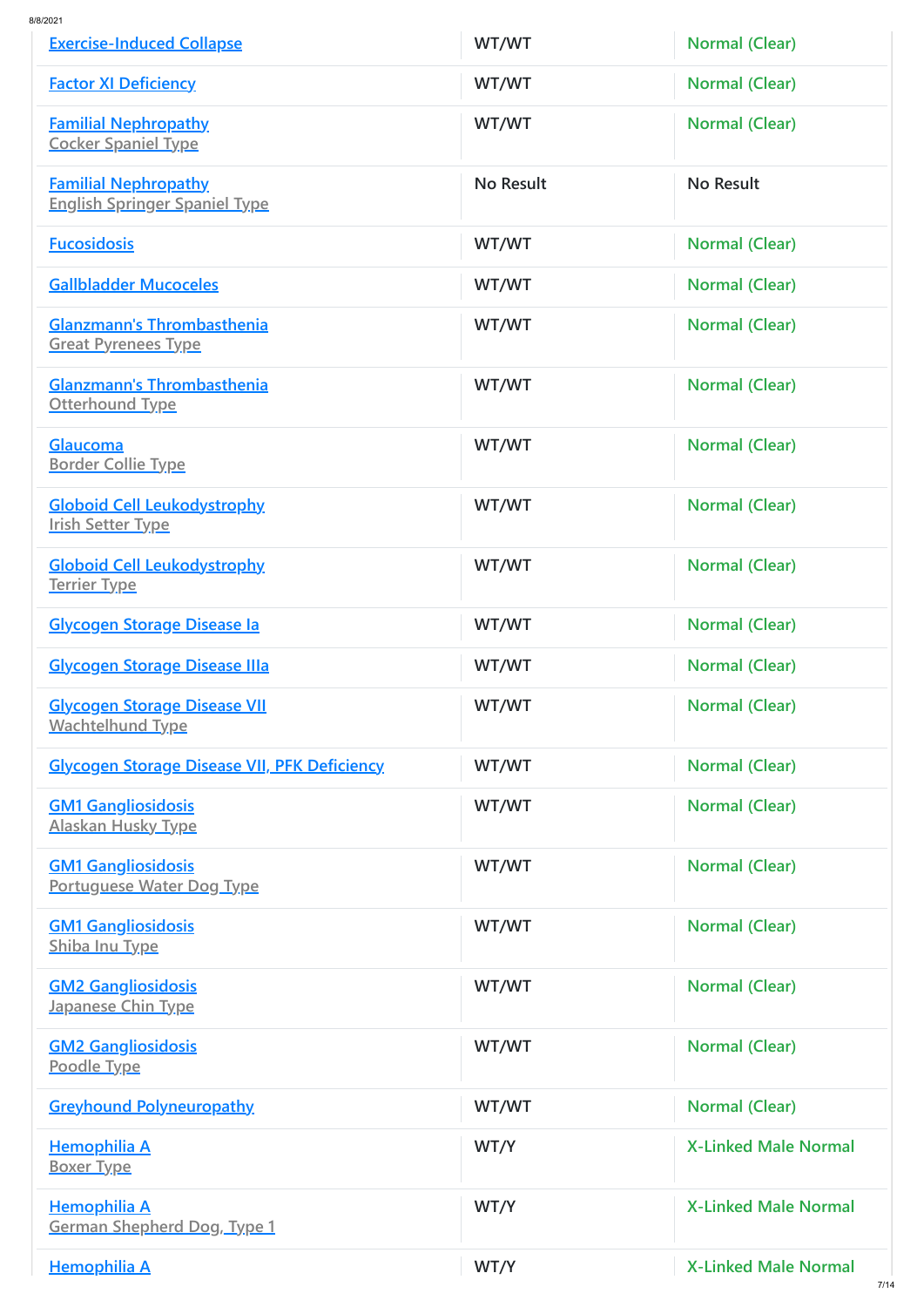| <b>Exercise-Induced Collapse</b>                                    | WT/WT            | <b>Normal (Clear)</b>       |
|---------------------------------------------------------------------|------------------|-----------------------------|
| <b>Factor XI Deficiency</b>                                         | WT/WT            | <b>Normal (Clear)</b>       |
| <b>Familial Nephropathy</b><br><b>Cocker Spaniel Type</b>           | WT/WT            | <b>Normal (Clear)</b>       |
| <b>Familial Nephropathy</b><br><b>English Springer Spaniel Type</b> | <b>No Result</b> | No Result                   |
| <b>Fucosidosis</b>                                                  | WT/WT            | <b>Normal (Clear)</b>       |
| <b>Gallbladder Mucoceles</b>                                        | WT/WT            | <b>Normal (Clear)</b>       |
| <b>Glanzmann's Thrombasthenia</b><br><b>Great Pyrenees Type</b>     | WT/WT            | <b>Normal (Clear)</b>       |
| <b>Glanzmann's Thrombasthenia</b><br><b>Otterhound Type</b>         | WT/WT            | <b>Normal (Clear)</b>       |
| <b>Glaucoma</b><br><b>Border Collie Type</b>                        | WT/WT            | <b>Normal (Clear)</b>       |
| <b>Globoid Cell Leukodystrophy</b><br><b>Irish Setter Type</b>      | WT/WT            | <b>Normal (Clear)</b>       |
| <b>Globoid Cell Leukodystrophy</b><br><b>Terrier Type</b>           | WT/WT            | <b>Normal (Clear)</b>       |
| <b>Glycogen Storage Disease la</b>                                  | WT/WT            | <b>Normal (Clear)</b>       |
| <b>Glycogen Storage Disease IIIa</b>                                | WT/WT            | <b>Normal (Clear)</b>       |
| <b>Glycogen Storage Disease VII</b><br><b>Wachtelhund Type</b>      | WT/WT            | <b>Normal (Clear)</b>       |
| <b>Glycogen Storage Disease VII, PFK Deficiency</b>                 | WT/WT            | <b>Normal (Clear)</b>       |
| <b>GM1 Gangliosidosis</b><br><b>Alaskan Husky Type</b>              | WT/WT            | <b>Normal (Clear)</b>       |
| <b>GM1 Gangliosidosis</b><br><b>Portuguese Water Dog Type</b>       | WT/WT            | <b>Normal (Clear)</b>       |
| <b>GM1 Gangliosidosis</b><br><b>Shiba Inu Type</b>                  | WT/WT            | <b>Normal (Clear)</b>       |
| <b>GM2 Gangliosidosis</b><br><b>Japanese Chin Type</b>              | WT/WT            | <b>Normal (Clear)</b>       |
| <b>GM2 Gangliosidosis</b><br>Poodle Type                            | WT/WT            | <b>Normal (Clear)</b>       |
| <b>Greyhound Polyneuropathy</b>                                     | WT/WT            | <b>Normal (Clear)</b>       |
| <b>Hemophilia A</b><br><b>Boxer Type</b>                            | WT/Y             | <b>X-Linked Male Normal</b> |
| <b>Hemophilia A</b><br><b>German Shepherd Dog, Type 1</b>           | WT/Y             | <b>X-Linked Male Normal</b> |
| <b>Hemophilia A</b>                                                 | WT/Y             | <b>X-Linked Male Normal</b> |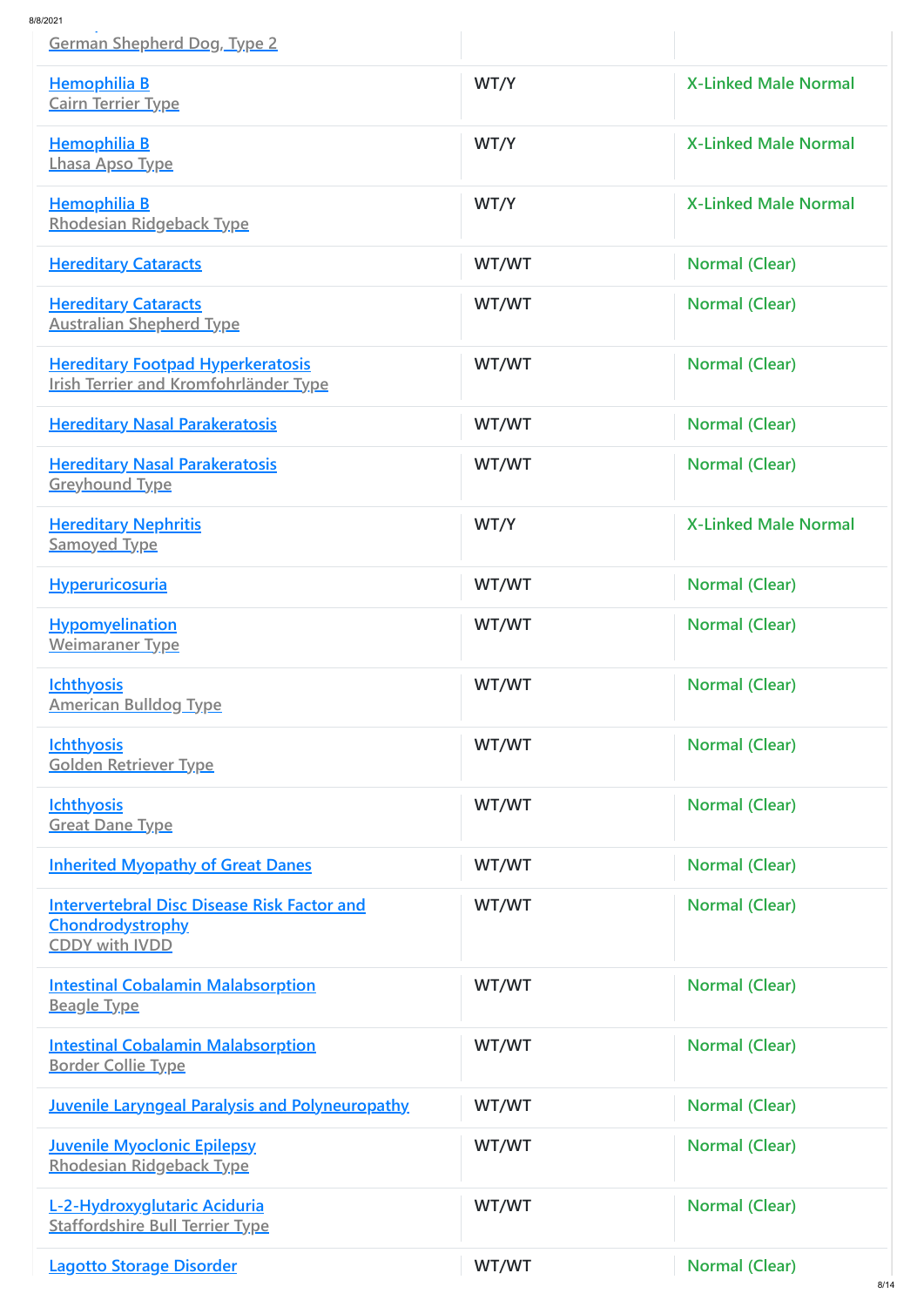| 1/8/2021<br><b>German Shepherd Dog, Type 2</b>                                                         |       |                             |
|--------------------------------------------------------------------------------------------------------|-------|-----------------------------|
| <b>Hemophilia B</b><br><b>Cairn Terrier Type</b>                                                       | WT/Y  | <b>X-Linked Male Normal</b> |
| <b>Hemophilia B</b><br><b>Lhasa Apso Type</b>                                                          | WT/Y  | <b>X-Linked Male Normal</b> |
| <b>Hemophilia B</b><br><b>Rhodesian Ridgeback Type</b>                                                 | WT/Y  | <b>X-Linked Male Normal</b> |
| <b>Hereditary Cataracts</b>                                                                            | WT/WT | <b>Normal (Clear)</b>       |
| <b>Hereditary Cataracts</b><br><b>Australian Shepherd Type</b>                                         | WT/WT | <b>Normal (Clear)</b>       |
| <b>Hereditary Footpad Hyperkeratosis</b><br><b>Irish Terrier and Kromfohrländer Type</b>               | WT/WT | <b>Normal (Clear)</b>       |
| <b>Hereditary Nasal Parakeratosis</b>                                                                  | WT/WT | <b>Normal (Clear)</b>       |
| <b>Hereditary Nasal Parakeratosis</b><br><b>Greyhound Type</b>                                         | WT/WT | <b>Normal (Clear)</b>       |
| <b>Hereditary Nephritis</b><br><b>Samoyed Type</b>                                                     | WT/Y  | <b>X-Linked Male Normal</b> |
| <b>Hyperuricosuria</b>                                                                                 | WT/WT | <b>Normal (Clear)</b>       |
| <b>Hypomyelination</b><br><b>Weimaraner Type</b>                                                       | WT/WT | <b>Normal (Clear)</b>       |
| <b>Ichthyosis</b><br><b>American Bulldog Type</b>                                                      | WT/WT | <b>Normal (Clear)</b>       |
| <b>Ichthyosis</b><br><b>Golden Retriever Type</b>                                                      | WT/WT | <b>Normal (Clear)</b>       |
| <b>Ichthyosis</b><br><b>Great Dane Type</b>                                                            | WT/WT | <b>Normal (Clear)</b>       |
| <b>Inherited Myopathy of Great Danes</b>                                                               | WT/WT | <b>Normal (Clear)</b>       |
| <b>Intervertebral Disc Disease Risk Factor and</b><br><b>Chondrodystrophy</b><br><b>CDDY with IVDD</b> | WT/WT | <b>Normal (Clear)</b>       |
| <b>Intestinal Cobalamin Malabsorption</b><br><b>Beagle Type</b>                                        | WT/WT | <b>Normal (Clear)</b>       |
| <b>Intestinal Cobalamin Malabsorption</b><br><b>Border Collie Type</b>                                 | WT/WT | <b>Normal (Clear)</b>       |
| <b>Juvenile Laryngeal Paralysis and Polyneuropathy</b>                                                 | WT/WT | <b>Normal (Clear)</b>       |
| <b>Juvenile Myoclonic Epilepsy</b><br><b>Rhodesian Ridgeback Type</b>                                  | WT/WT | <b>Normal (Clear)</b>       |
| L-2-Hydroxyglutaric Aciduria<br><b>Staffordshire Bull Terrier Type</b>                                 | WT/WT | <b>Normal (Clear)</b>       |
| <b>Lagotto Storage Disorder</b>                                                                        | WT/WT | <b>Normal (Clear)</b>       |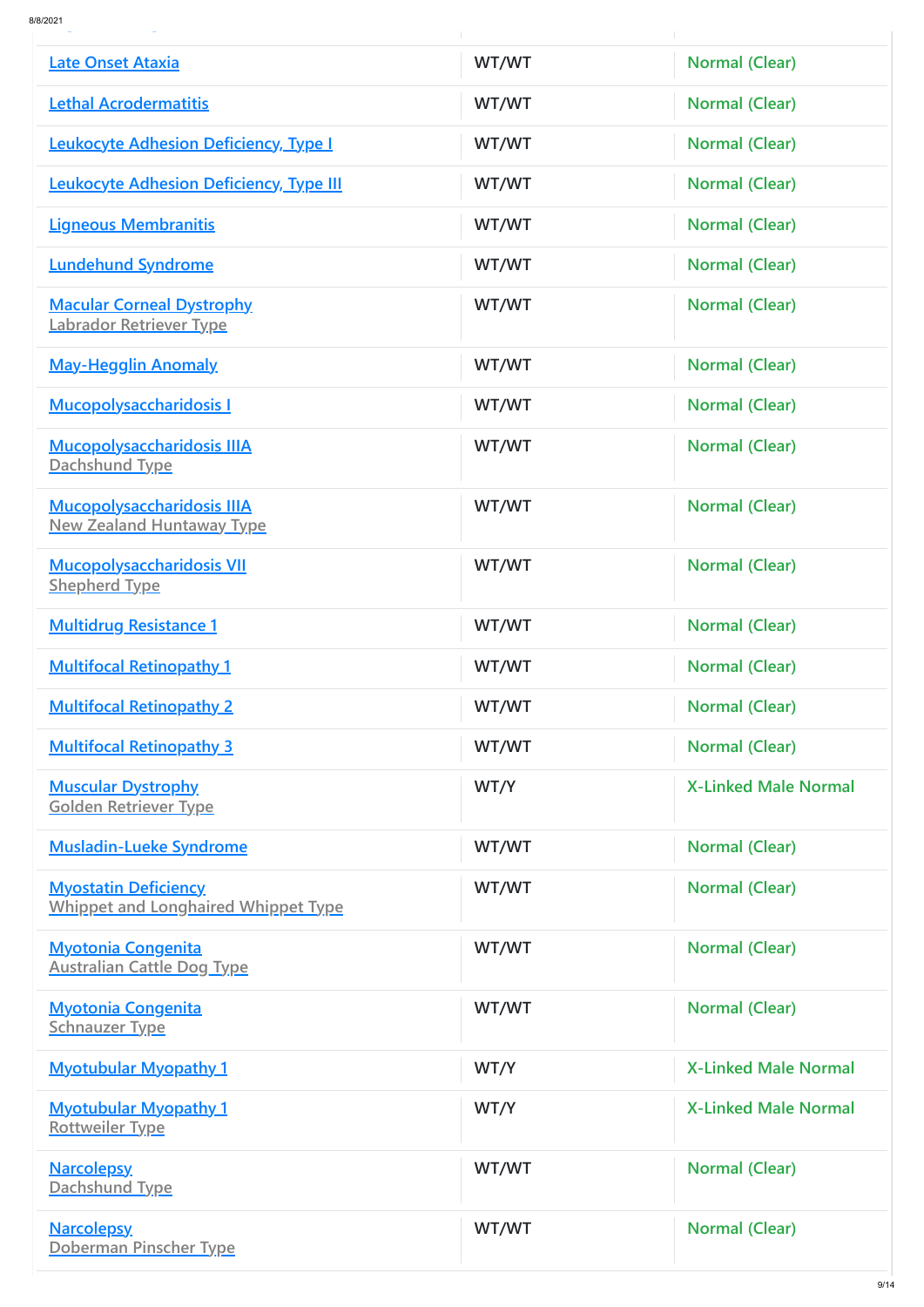| 8/8/2021 |  |   |
|----------|--|---|
|          |  | - |

| Late Onset Ataxia                                                         | WT/WT | <b>Normal (Clear)</b>       |
|---------------------------------------------------------------------------|-------|-----------------------------|
| <b>Lethal Acrodermatitis</b>                                              | WT/WT | <b>Normal (Clear)</b>       |
| <b>Leukocyte Adhesion Deficiency, Type I</b>                              | WT/WT | <b>Normal (Clear)</b>       |
| <b>Leukocyte Adhesion Deficiency, Type III</b>                            | WT/WT | <b>Normal (Clear)</b>       |
| <b>Ligneous Membranitis</b>                                               | WT/WT | Normal (Clear)              |
| <b>Lundehund Syndrome</b>                                                 | WT/WT | <b>Normal (Clear)</b>       |
| <b>Macular Corneal Dystrophy</b><br>Labrador Retriever Type               | WT/WT | <b>Normal (Clear)</b>       |
| <b>May-Hegglin Anomaly</b>                                                | WT/WT | <b>Normal (Clear)</b>       |
| <b>Mucopolysaccharidosis I</b>                                            | WT/WT | <b>Normal (Clear)</b>       |
| <b>Mucopolysaccharidosis IIIA</b><br>Dachshund Type                       | WT/WT | <b>Normal (Clear)</b>       |
| <b>Mucopolysaccharidosis IIIA</b><br><b>New Zealand Huntaway Type</b>     | WT/WT | <b>Normal (Clear)</b>       |
| <b>Mucopolysaccharidosis VII</b><br><b>Shepherd Type</b>                  | WT/WT | <b>Normal (Clear)</b>       |
| <b>Multidrug Resistance 1</b>                                             | WT/WT | <b>Normal (Clear)</b>       |
| <b>Multifocal Retinopathy 1</b>                                           | WT/WT | <b>Normal (Clear)</b>       |
| <b>Multifocal Retinopathy 2</b>                                           | WT/WT | <b>Normal (Clear)</b>       |
| <b>Multifocal Retinopathy 3</b>                                           | WT/WT | <b>Normal (Clear)</b>       |
| <b>Muscular Dystrophy</b><br><b>Golden Retriever Type</b>                 | WT/Y  | <b>X-Linked Male Normal</b> |
| <b>Musladin-Lueke Syndrome</b>                                            | WT/WT | <b>Normal (Clear)</b>       |
| <b>Myostatin Deficiency</b><br><b>Whippet and Longhaired Whippet Type</b> | WT/WT | <b>Normal (Clear)</b>       |
| <b>Myotonia Congenita</b><br><b>Australian Cattle Dog Type</b>            | WT/WT | <b>Normal (Clear)</b>       |
| <b>Myotonia Congenita</b><br><b>Schnauzer Type</b>                        | WT/WT | <b>Normal (Clear)</b>       |
| <b>Myotubular Myopathy 1</b>                                              | WT/Y  | <b>X-Linked Male Normal</b> |
| <b>Myotubular Myopathy 1</b><br><b>Rottweiler Type</b>                    | WT/Y  | <b>X-Linked Male Normal</b> |
| <b>Narcolepsy</b><br>Dachshund Type                                       | WT/WT | <b>Normal (Clear)</b>       |
| <b>Narcolepsy</b><br>Doberman Pinscher Type                               | WT/WT | <b>Normal (Clear)</b>       |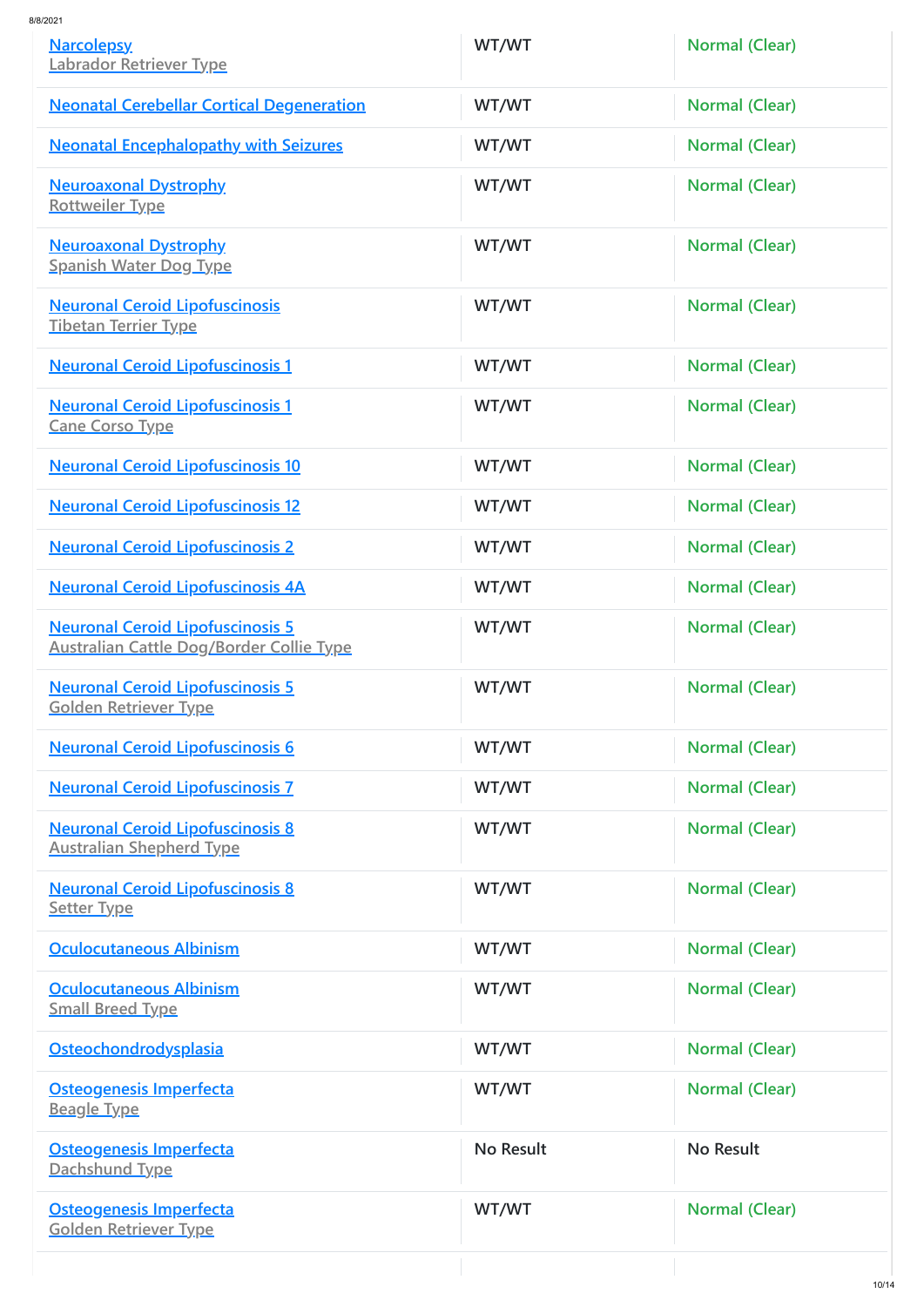| <b>Narcolepsy</b><br>Labrador Retriever Type                                               | WT/WT            | <b>Normal (Clear)</b> |
|--------------------------------------------------------------------------------------------|------------------|-----------------------|
| <b>Neonatal Cerebellar Cortical Degeneration</b>                                           | WT/WT            | <b>Normal (Clear)</b> |
| <b>Neonatal Encephalopathy with Seizures</b>                                               | WT/WT            | <b>Normal (Clear)</b> |
| <b>Neuroaxonal Dystrophy</b><br><b>Rottweiler Type</b>                                     | WT/WT            | <b>Normal (Clear)</b> |
| <b>Neuroaxonal Dystrophy</b><br><b>Spanish Water Dog Type</b>                              | WT/WT            | <b>Normal (Clear)</b> |
| <b>Neuronal Ceroid Lipofuscinosis</b><br><b>Tibetan Terrier Type</b>                       | WT/WT            | <b>Normal (Clear)</b> |
| <b>Neuronal Ceroid Lipofuscinosis 1</b>                                                    | WT/WT            | <b>Normal (Clear)</b> |
| <b>Neuronal Ceroid Lipofuscinosis 1</b><br><b>Cane Corso Type</b>                          | WT/WT            | <b>Normal (Clear)</b> |
| <b>Neuronal Ceroid Lipofuscinosis 10</b>                                                   | WT/WT            | <b>Normal (Clear)</b> |
| <b>Neuronal Ceroid Lipofuscinosis 12</b>                                                   | WT/WT            | <b>Normal (Clear)</b> |
| <b>Neuronal Ceroid Lipofuscinosis 2</b>                                                    | WT/WT            | <b>Normal (Clear)</b> |
| <b>Neuronal Ceroid Lipofuscinosis 4A</b>                                                   | WT/WT            | <b>Normal (Clear)</b> |
| <b>Neuronal Ceroid Lipofuscinosis 5</b><br><b>Australian Cattle Dog/Border Collie Type</b> | WT/WT            | <b>Normal (Clear)</b> |
| <b>Neuronal Ceroid Lipofuscinosis 5</b><br><b>Golden Retriever Type</b>                    | WT/WT            | <b>Normal (Clear)</b> |
| <b>Neuronal Ceroid Lipofuscinosis 6</b>                                                    | WT/WT            | <b>Normal (Clear)</b> |
| <b>Neuronal Ceroid Lipofuscinosis 7</b>                                                    | WT/WT            | <b>Normal (Clear)</b> |
| <b>Neuronal Ceroid Lipofuscinosis 8</b><br><b>Australian Shepherd Type</b>                 | WT/WT            | <b>Normal (Clear)</b> |
| <b>Neuronal Ceroid Lipofuscinosis 8</b><br><b>Setter Type</b>                              | WT/WT            | <b>Normal (Clear)</b> |
| <b>Oculocutaneous Albinism</b>                                                             | WT/WT            | <b>Normal (Clear)</b> |
| <b>Oculocutaneous Albinism</b><br><b>Small Breed Type</b>                                  | WT/WT            | <b>Normal (Clear)</b> |
| Osteochondrodysplasia                                                                      | WT/WT            | <b>Normal (Clear)</b> |
| <b>Osteogenesis Imperfecta</b><br><b>Beagle Type</b>                                       | WT/WT            | <b>Normal (Clear)</b> |
| <b>Osteogenesis Imperfecta</b><br>Dachshund Type                                           | <b>No Result</b> | <b>No Result</b>      |
| <b>Osteogenesis Imperfecta</b><br><b>Golden Retriever Type</b>                             | WT/WT            | <b>Normal (Clear)</b> |
|                                                                                            |                  | 10/11                 |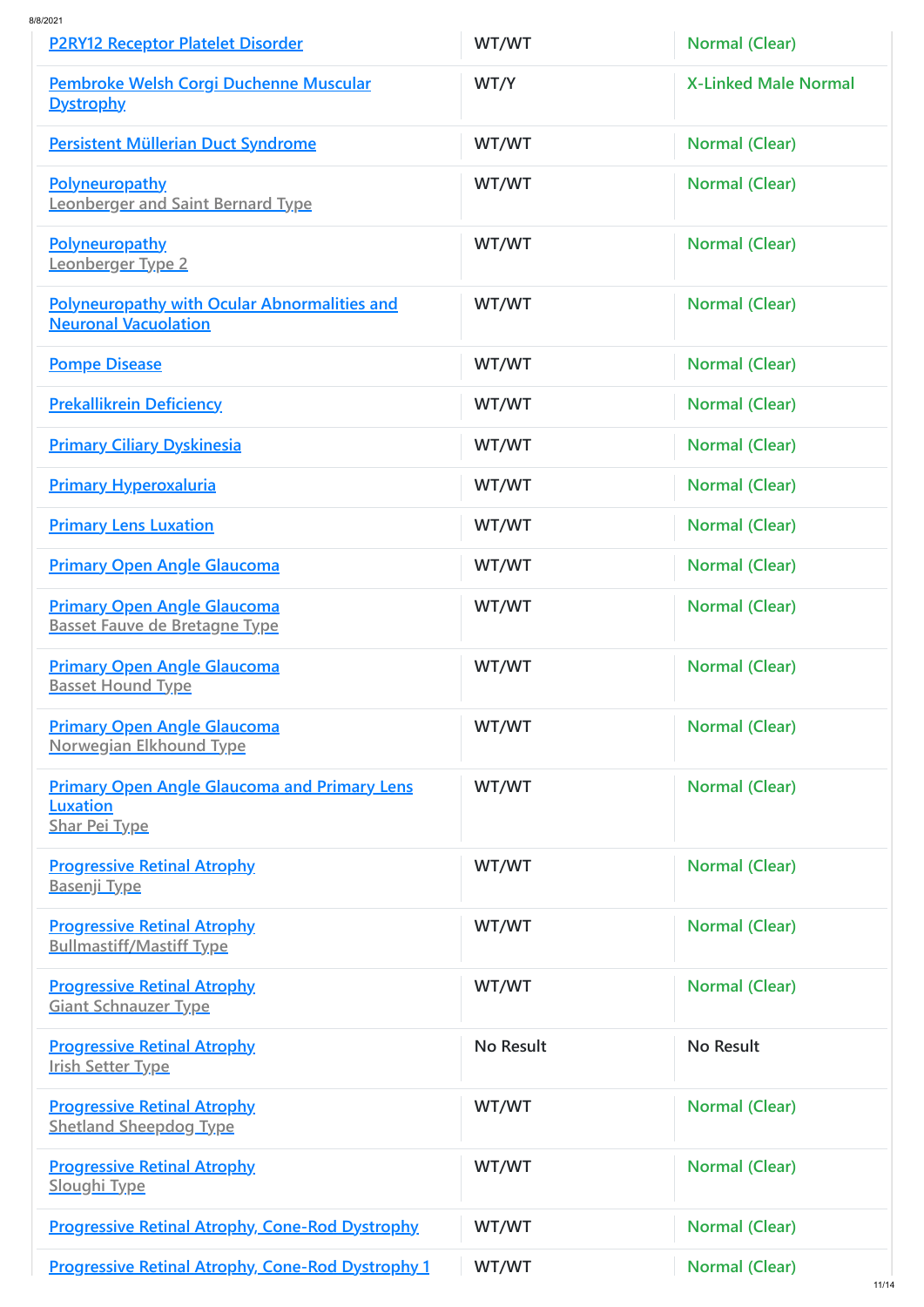| <b>P2RY12 Receptor Platelet Disorder</b>                                                       | WT/WT | <b>Normal (Clear)</b>       |
|------------------------------------------------------------------------------------------------|-------|-----------------------------|
| Pembroke Welsh Corgi Duchenne Muscular<br>Dystrophy                                            | WT/Y  | <b>X-Linked Male Normal</b> |
| <b>Persistent Müllerian Duct Syndrome</b>                                                      | WT/WT | <b>Normal (Clear)</b>       |
| <b>Polyneuropathy</b><br><b>Leonberger and Saint Bernard Type</b>                              | WT/WT | Normal (Clear)              |
| <b>Polyneuropathy</b><br>Leonberger Type 2                                                     | WT/WT | <b>Normal (Clear)</b>       |
| <b>Polyneuropathy with Ocular Abnormalities and</b><br><b>Neuronal Vacuolation</b>             | WT/WT | <b>Normal (Clear)</b>       |
| <b>Pompe Disease</b>                                                                           | WT/WT | <b>Normal (Clear)</b>       |
| <b>Prekallikrein Deficiency</b>                                                                | WT/WT | <b>Normal (Clear)</b>       |
| <b>Primary Ciliary Dyskinesia</b>                                                              | WT/WT | <b>Normal (Clear)</b>       |
| <b>Primary Hyperoxaluria</b>                                                                   | WT/WT | <b>Normal (Clear)</b>       |
| <b>Primary Lens Luxation</b>                                                                   | WT/WT | <b>Normal (Clear)</b>       |
| <b>Primary Open Angle Glaucoma</b>                                                             | WT/WT | <b>Normal (Clear)</b>       |
| <b>Primary Open Angle Glaucoma</b><br><b>Basset Fauve de Bretagne Type</b>                     | WT/WT | <b>Normal (Clear)</b>       |
| <b>Primary Open Angle Glaucoma</b><br><b>Basset Hound Type</b>                                 | WT/WT | <b>Normal (Clear)</b>       |
| <b>Primary Open Angle Glaucoma</b><br><b>Norwegian Elkhound Type</b>                           | WT/WT | <b>Normal (Clear)</b>       |
| <b>Primary Open Angle Glaucoma and Primary Lens</b><br><b>Luxation</b><br><b>Shar Pei Type</b> | WT/WT | <b>Normal (Clear)</b>       |
| <b>Progressive Retinal Atrophy</b><br><u>Basenji Type</u>                                      | WT/WT | <b>Normal (Clear)</b>       |
| <b>Progressive Retinal Atrophy</b><br><b>Bullmastiff/Mastiff Type</b>                          | WT/WT | <b>Normal (Clear)</b>       |

| <b>Progressive Retinal Atrophy</b><br><b>Giant Schnauzer Type</b>   | WT/WT     | <b>Normal (Clear)</b> |
|---------------------------------------------------------------------|-----------|-----------------------|
| <b>Progressive Retinal Atrophy</b><br><b>Irish Setter Type</b>      | No Result | No Result             |
| <b>Progressive Retinal Atrophy</b><br><b>Shetland Sheepdog Type</b> | WT/WT     | <b>Normal (Clear)</b> |
| <b>Progressive Retinal Atrophy</b><br><b>Sloughi Type</b>           | WT/WT     | <b>Normal (Clear)</b> |
| <b>Progressive Retinal Atrophy, Cone-Rod Dystrophy.</b>             | WT/WT     | <b>Normal (Clear)</b> |
| <b>Progressive Retinal Atrophy, Cone-Rod Dystrophy 1</b>            | WT/WT     | <b>Normal (Clear)</b> |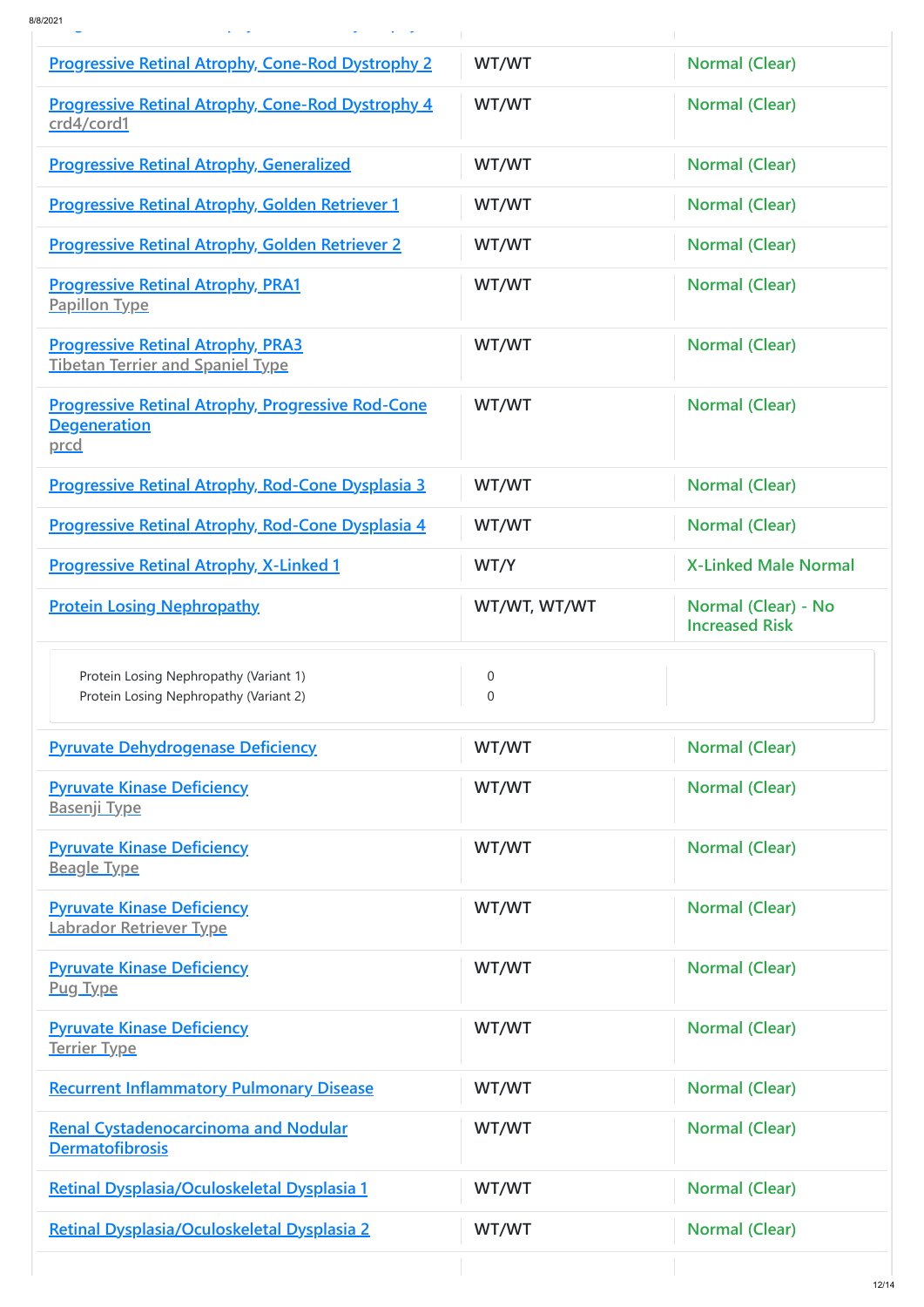**g p y y [p](https://www.caninehealthcheck.com/summary/MG-DIS-1dd15e1519ae98406bab02c882d00f85) y ( )**

| <b>Progressive Retinal Atrophy, Cone-Rod Dystrophy 2</b>                                | WT/WT         | <b>Normal (Clear)</b>                        |
|-----------------------------------------------------------------------------------------|---------------|----------------------------------------------|
| <b>Progressive Retinal Atrophy, Cone-Rod Dystrophy 4</b><br>crd4/cord1                  | WT/WT         | <b>Normal (Clear)</b>                        |
| <b>Progressive Retinal Atrophy, Generalized</b>                                         | WT/WT         | <b>Normal (Clear)</b>                        |
| <b>Progressive Retinal Atrophy, Golden Retriever 1</b>                                  | WT/WT         | <b>Normal (Clear)</b>                        |
| <b>Progressive Retinal Atrophy, Golden Retriever 2</b>                                  | WT/WT         | <b>Normal (Clear)</b>                        |
| <b>Progressive Retinal Atrophy, PRA1</b><br><b>Papillon Type</b>                        | WT/WT         | <b>Normal (Clear)</b>                        |
| <b>Progressive Retinal Atrophy, PRA3</b><br><b>Tibetan Terrier and Spaniel Type</b>     | WT/WT         | Normal (Clear)                               |
| <b>Progressive Retinal Atrophy, Progressive Rod-Cone</b><br><b>Degeneration</b><br>prcd | WT/WT         | <b>Normal (Clear)</b>                        |
| <b>Progressive Retinal Atrophy, Rod-Cone Dysplasia 3</b>                                | WT/WT         | <b>Normal (Clear)</b>                        |
| <b>Progressive Retinal Atrophy, Rod-Cone Dysplasia 4</b>                                | WT/WT         | <b>Normal (Clear)</b>                        |
| <b>Progressive Retinal Atrophy, X-Linked 1</b>                                          | WT/Y          | <b>X-Linked Male Normal</b>                  |
| <b>Protein Losing Nephropathy</b>                                                       | WT/WT, WT/WT  | Normal (Clear) - No<br><b>Increased Risk</b> |
| Protein Losing Nephropathy (Variant 1)<br>Protein Losing Nephropathy (Variant 2)        | 0<br>$\Omega$ |                                              |
|                                                                                         |               |                                              |
| <b>Pyruvate Dehydrogenase Deficiency</b>                                                | WT/WT         | <b>Normal (Clear)</b>                        |
| <b>Pyruvate Kinase Deficiency</b><br><u>Basenji Type</u>                                | WT/WT         | <b>Normal (Clear)</b>                        |
| <b>Pyruvate Kinase Deficiency</b><br><u>Beagle Type</u>                                 | WT/WT         | <b>Normal (Clear)</b>                        |
| <b>Pyruvate Kinase Deficiency</b><br>Labrador Retriever Type                            | WT/WT         | <b>Normal (Clear)</b>                        |
| <b>Pyruvate Kinase Deficiency</b><br><u>Pug Type</u>                                    | WT/WT         | <b>Normal (Clear)</b>                        |
| <b>Pyruvate Kinase Deficiency</b><br><u>Terrier Type</u>                                | WT/WT         | <b>Normal (Clear)</b>                        |
| <b>Recurrent Inflammatory Pulmonary Disease</b>                                         | WT/WT         | <b>Normal (Clear)</b>                        |
| <b>Renal Cystadenocarcinoma and Nodular</b><br><b>Dermatofibrosis</b>                   | WT/WT         | <b>Normal (Clear)</b>                        |
| Retinal Dysplasia/Oculoskeletal Dysplasia 1                                             | WT/WT         | <b>Normal (Clear)</b>                        |
| <b>Retinal Dysplasia/Oculoskeletal Dysplasia 2</b>                                      | WT/WT         | <b>Normal (Clear)</b>                        |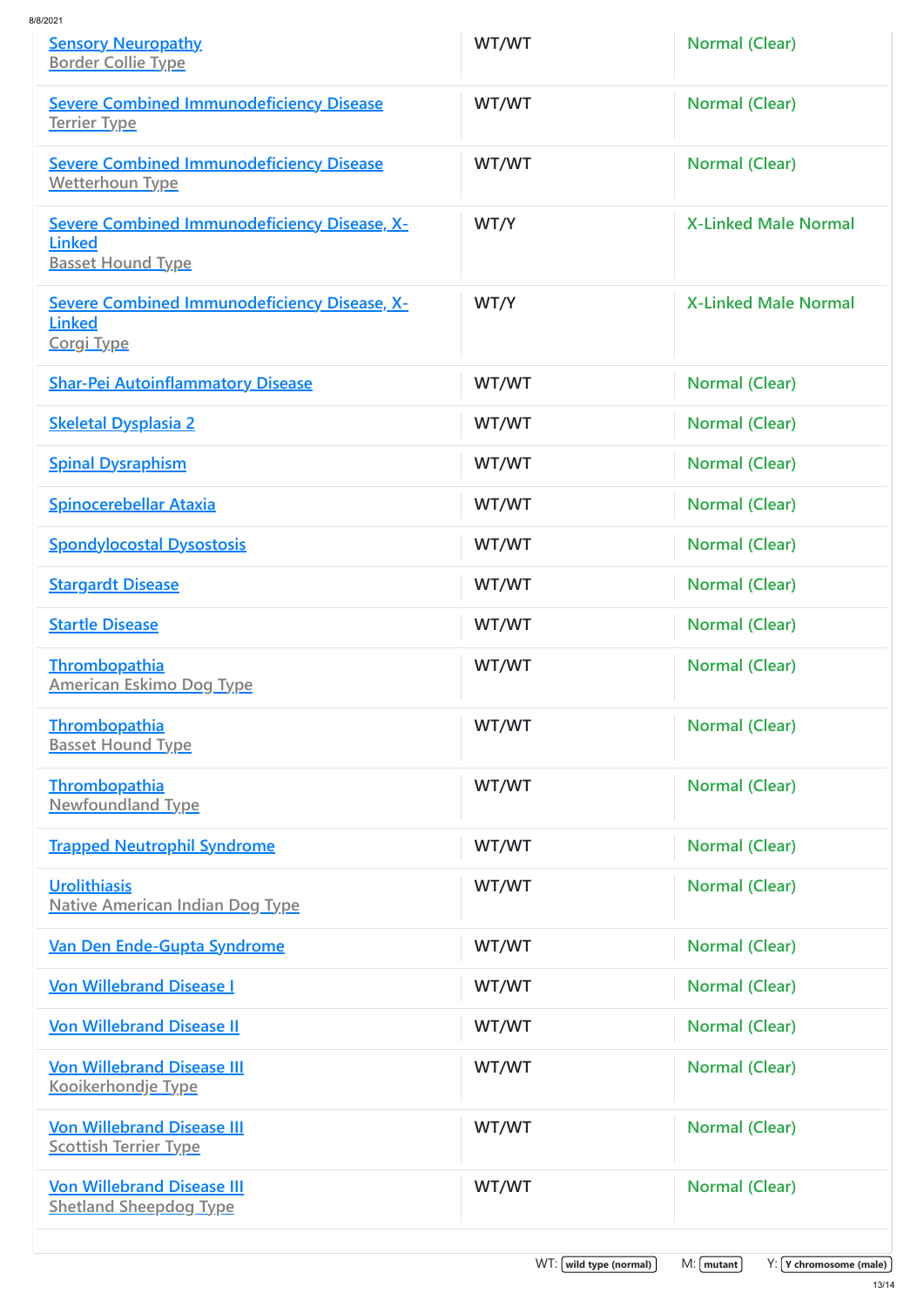| <b>Sensory Neuropathy</b><br><b>Border Collie Type</b>                                           | WT/WT                          | <b>Normal (Clear)</b>                         |
|--------------------------------------------------------------------------------------------------|--------------------------------|-----------------------------------------------|
| <b>Severe Combined Immunodeficiency Disease</b><br><u>Terrier Type</u>                           | WT/WT                          | <b>Normal (Clear)</b>                         |
| <b>Severe Combined Immunodeficiency Disease</b><br><b>Wetterhoun Type</b>                        | WT/WT                          | <b>Normal (Clear)</b>                         |
| <b>Severe Combined Immunodeficiency Disease, X-</b><br><b>Linked</b><br><b>Basset Hound Type</b> | WT/Y                           | <b>X-Linked Male Normal</b>                   |
| <b>Severe Combined Immunodeficiency Disease, X-</b><br><b>Linked</b><br><b>Corgi Type</b>        | WT/Y                           | <b>X-Linked Male Normal</b>                   |
| <b>Shar-Pei Autoinflammatory Disease</b>                                                         | WT/WT                          | <b>Normal (Clear)</b>                         |
| <b>Skeletal Dysplasia 2</b>                                                                      | WT/WT                          | <b>Normal (Clear)</b>                         |
| <b>Spinal Dysraphism</b>                                                                         | WT/WT                          | <b>Normal (Clear)</b>                         |
| <b>Spinocerebellar Ataxia</b>                                                                    | WT/WT                          | <b>Normal (Clear)</b>                         |
| <b>Spondylocostal Dysostosis</b>                                                                 | WT/WT                          | <b>Normal (Clear)</b>                         |
| <b>Stargardt Disease</b>                                                                         | WT/WT                          | <b>Normal (Clear)</b>                         |
| <b>Startle Disease</b>                                                                           | WT/WT                          | <b>Normal (Clear)</b>                         |
| <b>Thrombopathia</b><br><b>American Eskimo Dog Type</b>                                          | WT/WT                          | <b>Normal (Clear)</b>                         |
| <b>Thrombopathia</b><br><b>Basset Hound Type</b>                                                 | WT/WT                          | <b>Normal (Clear)</b>                         |
| <b>Thrombopathia</b><br><b>Newfoundland Type</b>                                                 | WT/WT                          | <b>Normal (Clear)</b>                         |
| <b>Trapped Neutrophil Syndrome</b>                                                               | WT/WT                          | <b>Normal (Clear)</b>                         |
| Urolithiasis<br><b>Native American Indian Dog Type</b>                                           | WT/WT                          | <b>Normal (Clear)</b>                         |
| Van Den Ende-Gupta Syndrome                                                                      | WT/WT                          | <b>Normal (Clear)</b>                         |
| <b>Von Willebrand Disease I</b>                                                                  | WT/WT                          | <b>Normal (Clear)</b>                         |
| <b>Von Willebrand Disease II</b>                                                                 | WT/WT                          | Normal (Clear)                                |
| <b>Von Willebrand Disease III</b><br><u>Kooikerhondje Type</u>                                   | WT/WT                          | <b>Normal (Clear)</b>                         |
| <b>Von Willebrand Disease III</b><br><b>Scottish Terrier Type</b>                                | WT/WT                          | <b>Normal (Clear)</b>                         |
| <b>Von Willebrand Disease III</b><br><b>Shetland Sheepdog Type</b>                               | WT/WT                          | <b>Normal (Clear)</b>                         |
|                                                                                                  | $WT: [$ wild type (normal) $]$ | $M: [$ mutant $]$<br>$Y: Y$ chromosome (male) |